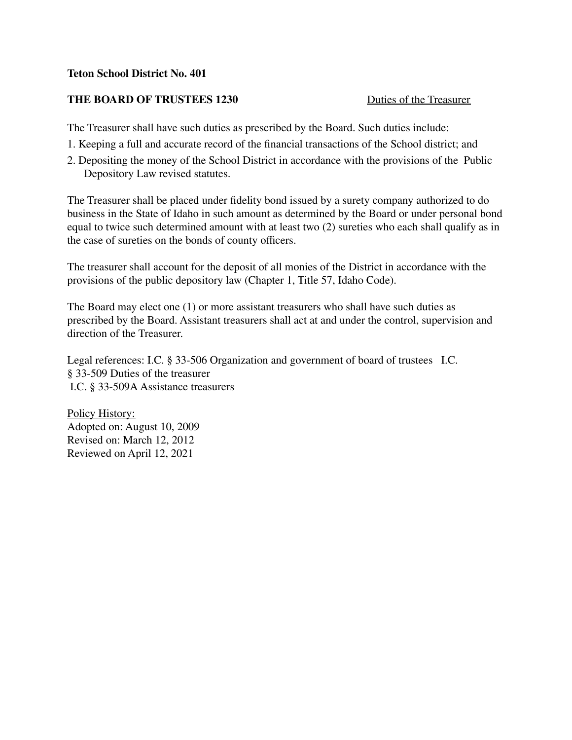## **Teton School District No. 401**

## **THE BOARD OF TRUSTEES 1230** Duties of the Treasurer

The Treasurer shall have such duties as prescribed by the Board. Such duties include:

- 1. Keeping a full and accurate record of the financial transactions of the School district; and
- 2. Depositing the money of the School District in accordance with the provisions of the Public Depository Law revised statutes.

The Treasurer shall be placed under fidelity bond issued by a surety company authorized to do business in the State of Idaho in such amount as determined by the Board or under personal bond equal to twice such determined amount with at least two (2) sureties who each shall qualify as in the case of sureties on the bonds of county officers.

The treasurer shall account for the deposit of all monies of the District in accordance with the provisions of the public depository law (Chapter 1, Title 57, Idaho Code).

The Board may elect one (1) or more assistant treasurers who shall have such duties as prescribed by the Board. Assistant treasurers shall act at and under the control, supervision and direction of the Treasurer.

Legal references: I.C. § 33-506 Organization and government of board of trustees I.C. § 33-509 Duties of the treasurer I.C. § 33-509A Assistance treasurers

Policy History: Adopted on: August 10, 2009 Revised on: March 12, 2012 Reviewed on April 12, 2021